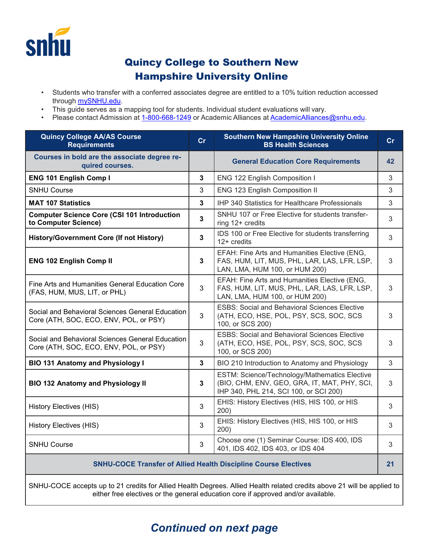

## Quincy College to Southern New Hampshire University Online

- Students who transfer with a conferred associates degree are entitled to a 10% tuition reduction accessed through [mySNHU.edu.](https://my.snhu.edu/)
- This guide serves as a mapping tool for students. Individual student evaluations will vary.
- Please contact Admission at [1-800-668-1249](tel:+1-800-668-1249) or Academic Alliances at [AcademicAlliances@snhu.edu.](mailto:AcademicAlliances@snhu.edu)

| <b>Quincy College AA/AS Course</b><br><b>Requirements</b>                                  | cr           | <b>Southern New Hampshire University Online</b><br><b>BS Health Sciences</b>                                                            | cr |
|--------------------------------------------------------------------------------------------|--------------|-----------------------------------------------------------------------------------------------------------------------------------------|----|
| Courses in bold are the associate degree re-<br>quired courses.                            |              | <b>General Education Core Requirements</b>                                                                                              | 42 |
| <b>ENG 101 English Comp I</b>                                                              | 3            | ENG 122 English Composition I                                                                                                           | 3  |
| <b>SNHU Course</b>                                                                         | 3            | ENG 123 English Composition II                                                                                                          | 3  |
| <b>MAT 107 Statistics</b>                                                                  | $\mathbf{3}$ | IHP 340 Statistics for Healthcare Professionals                                                                                         | 3  |
| <b>Computer Science Core (CSI 101 Introduction</b><br>to Computer Science)                 | $\mathbf{3}$ | SNHU 107 or Free Elective for students transfer-<br>ring 12+ credits                                                                    | 3  |
| <b>History/Government Core (If not History)</b>                                            | $\mathbf{3}$ | IDS 100 or Free Elective for students transferring<br>$12+$ credits                                                                     | 3  |
| <b>ENG 102 English Comp II</b>                                                             | $\mathbf{3}$ | EFAH: Fine Arts and Humanities Elective (ENG,<br>FAS, HUM, LIT, MUS, PHL, LAR, LAS, LFR, LSP,<br>LAN, LMA, HUM 100, or HUM 200)         | 3  |
| Fine Arts and Humanities General Education Core<br>(FAS, HUM, MUS, LIT, or PHL)            | 3            | EFAH: Fine Arts and Humanities Elective (ENG,<br>FAS, HUM, LIT, MUS, PHL, LAR, LAS, LFR, LSP,<br>LAN, LMA, HUM 100, or HUM 200)         | 3  |
| Social and Behavioral Sciences General Education<br>Core (ATH, SOC, ECO, ENV, POL, or PSY) | 3            | <b>ESBS: Social and Behavioral Sciences Elective</b><br>(ATH, ECO, HSE, POL, PSY, SCS, SOC, SCS<br>100, or SCS 200)                     | 3  |
| Social and Behavioral Sciences General Education<br>Core (ATH, SOC, ECO, ENV, POL, or PSY) | 3            | <b>ESBS: Social and Behavioral Sciences Elective</b><br>(ATH, ECO, HSE, POL, PSY, SCS, SOC, SCS<br>100, or SCS 200)                     | 3  |
| <b>BIO 131 Anatomy and Physiology I</b>                                                    | 3            | BIO 210 Introduction to Anatomy and Physiology                                                                                          | 3  |
| <b>BIO 132 Anatomy and Physiology II</b>                                                   | $\mathbf{3}$ | ESTM: Science/Technology/Mathematics Elective<br>(BIO, CHM, ENV, GEO, GRA, IT, MAT, PHY, SCI,<br>IHP 340, PHL 214, SCI 100, or SCI 200) | 3  |
| <b>History Electives (HIS)</b>                                                             | 3            | EHIS: History Electives (HIS, HIS 100, or HIS<br>200)                                                                                   | 3  |
| <b>History Electives (HIS)</b>                                                             | 3            | EHIS: History Electives (HIS, HIS 100, or HIS<br>200)                                                                                   | 3  |
| <b>SNHU Course</b>                                                                         | 3            | Choose one (1) Seminar Course: IDS 400, IDS<br>401, IDS 402, IDS 403, or IDS 404                                                        | 3  |
| <b>SNHU-COCE Transfer of Allied Health Discipline Course Electives</b>                     |              |                                                                                                                                         |    |

SNHU-COCE accepts up to 21 credits for Allied Health Degrees. Allied Health related credits above 21 will be applied to either free electives or the general education core if approved and/or available.

## *Continued on next page*